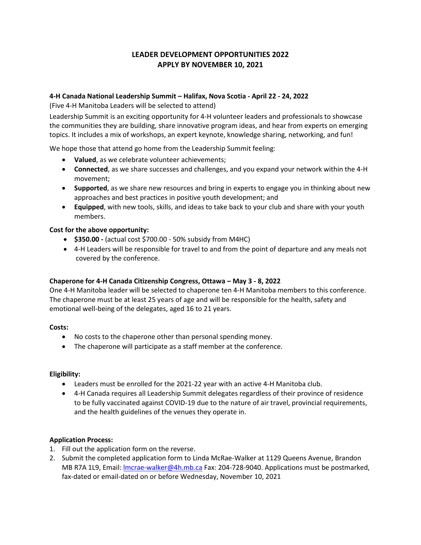# **LEADER DEVELOPMENT OPPORTUNITIES 2022 APPLY BY NOVEMBER 10, 2021**

### **4-H Canada National Leadership Summit – Halifax, Nova Scotia - April 22 - 24, 2022**

(Five 4-H Manitoba Leaders will be selected to attend)

Leadership Summit is an exciting opportunity for 4-H volunteer leaders and professionals to showcase the communities they are building, share innovative program ideas, and hear from experts on emerging topics. It includes a mix of workshops, an expert keynote, knowledge sharing, networking, and fun!

We hope those that attend go home from the Leadership Summit feeling:

- **Valued**, as we celebrate volunteer achievements;
- **Connected**, as we share successes and challenges, and you expand your network within the 4-H movement;
- **Supported**, as we share new resources and bring in experts to engage you in thinking about new approaches and best practices in positive youth development; and
- **Equipped**, with new tools, skills, and ideas to take back to your club and share with your youth members.

### **Cost for the above opportunity:**

- **\$350.00 -** (actual cost \$700.00 50% subsidy from M4HC)
- 4-H Leaders will be responsible for travel to and from the point of departure and any meals not covered by the conference.

### **Chaperone for 4-H Canada Citizenship Congress, Ottawa – May 3 - 8, 2022**

One 4-H Manitoba leader will be selected to chaperone ten 4-H Manitoba members to this conference. The chaperone must be at least 25 years of age and will be responsible for the health, safety and emotional well-being of the delegates, aged 16 to 21 years.

### **Costs:**

- No costs to the chaperone other than personal spending money.
- The chaperone will participate as a staff member at the conference.

### **Eligibility:**

- Leaders must be enrolled for the 2021-22 year with an active 4-H Manitoba club.
- 4-H Canada requires all Leadership Summit delegates regardless of their province of residence to be fully vaccinated against COVID-19 due to the nature of air travel, provincial requirements, and the health guidelines of the venues they operate in.

### **Application Process:**

- 1. Fill out the application form on the reverse.
- 2. Submit the completed application form to Linda McRae-Walker at 1129 Queens Avenue, Brandon MB R7A 1L9, Email: [lmcrae-walker@4h.mb.ca](mailto:lmcrae-walker@4h.mb.ca) Fax: 204-728-9040. Applications must be postmarked, fax-dated or email-dated on or before Wednesday, November 10, 2021